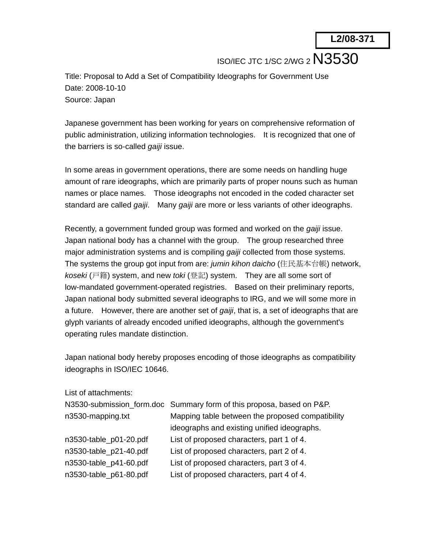ISO/IEC JTC 1/SC 2/WG 2 N3530

Title: Proposal to Add a Set of Compatibility Ideographs for Government Use Date: 2008-10-10 Source: Japan

Japanese government has been working for years on comprehensive reformation of public administration, utilizing information technologies. It is recognized that one of the barriers is so-called *gaiji* issue.

In some areas in government operations, there are some needs on handling huge amount of rare ideographs, which are primarily parts of proper nouns such as human names or place names. Those ideographs not encoded in the coded character set standard are called *gaiji*. Many *gaiji* are more or less variants of other ideographs.

Recently, a government funded group was formed and worked on the *gaiji* issue. Japan national body has a channel with the group. The group researched three major administration systems and is compiling *gaiji* collected from those systems. The systems the group got input from are: *jumin kihon daicho* (住民基本台帳) network, *koseki* (戸籍) system, and new *toki* (登記) system. They are all some sort of low-mandated government-operated registries. Based on their preliminary reports, Japan national body submitted several ideographs to IRG, and we will some more in a future. However, there are another set of *gaiji*, that is, a set of ideographs that are glyph variants of already encoded unified ideographs, although the government's operating rules mandate distinction.

Japan national body hereby proposes encoding of those ideographs as compatibility ideographs in ISO/IEC 10646.

| List of attachments:   |                                                                       |
|------------------------|-----------------------------------------------------------------------|
|                        | N3530-submission_form.doc Summary form of this proposa, based on P&P. |
| n3530-mapping.txt      | Mapping table between the proposed compatibility                      |
|                        | ideographs and existing unified ideographs.                           |
| n3530-table_p01-20.pdf | List of proposed characters, part 1 of 4.                             |
| n3530-table_p21-40.pdf | List of proposed characters, part 2 of 4.                             |
| n3530-table_p41-60.pdf | List of proposed characters, part 3 of 4.                             |
| n3530-table_p61-80.pdf | List of proposed characters, part 4 of 4.                             |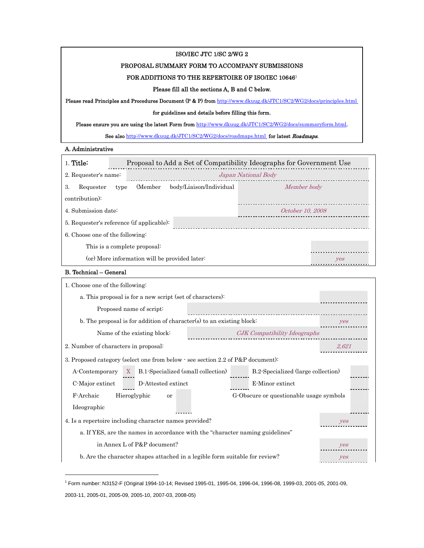# ISO/IEC JTC 1/SC 2/WG 2

## PROPOSAL SUMMARY FORM TO ACCOMPANY SUBMISSIONS

## FOR ADDITIONS TO THE REPERTOIRE OF ISO/IEC 10646 $^{\rm 1}$

#### Please fill all the sections A, B and C below.

Please read Principles and Procedures Document (P & P) from http://www.dkuug.dk/JTC1/SC2/WG2/docs/principles.html

#### for guidelines and details before filling this form.

Please ensure you are using the latest Form from http://www.dkuug.dk/JTC1/SC2/WG2/docs/summaryform.html.

See also http://www.dkuug.dk/JTC1/SC2/WG2/docs/roadmaps.html for latest Roadmaps.

# A. Administrative

| $1$ Title:                                    |                              | Proposal to Add a Set of Compatibility Ideographs for Government Use |             |  |
|-----------------------------------------------|------------------------------|----------------------------------------------------------------------|-------------|--|
| 2. Requester's name:                          |                              | Japan National Body                                                  |             |  |
| 3.<br>Requester                               | (Member)<br>type             | body/Liaison/Individual                                              | Member body |  |
| contribution):                                |                              |                                                                      |             |  |
| 4. Submission date:                           | October 10, 2008             |                                                                      |             |  |
| 5. Requester's reference (if applicable):     |                              |                                                                      |             |  |
| 6. Choose one of the following:               |                              |                                                                      |             |  |
|                                               | This is a complete proposal: |                                                                      |             |  |
| (or) More information will be provided later. |                              | yes                                                                  |             |  |
|                                               |                              |                                                                      |             |  |

#### B. Technical – General

1

| 1. Choose one of the following:                                                       |                                                           |                                    |                              |       |
|---------------------------------------------------------------------------------------|-----------------------------------------------------------|------------------------------------|------------------------------|-------|
|                                                                                       | a. This proposal is for a new script (set of characters): |                                    |                              |       |
|                                                                                       | Proposed name of script:                                  |                                    |                              |       |
| b. The proposal is for addition of character(s) to an existing block:                 |                                                           |                                    |                              | yes   |
| Name of the existing block:                                                           |                                                           |                                    | CJK Compatibility Ideographs |       |
| 2. Number of characters in proposal:                                                  |                                                           |                                    |                              | 2.621 |
| 3. Proposed category (select one from below $\cdot$ see section 2.2 of P&P document): |                                                           |                                    |                              |       |
| A-Contemporary                                                                        | B.1-Specialized (small collection)<br>X                   | B.2-Specialized (large collection) |                              |       |
| C-Major extinct                                                                       | D-Attested extinct                                        |                                    | E-Minor extinct              |       |
| F-Archaic<br>G-Obscure or questionable usage symbols<br>Hieroglyphic<br>or            |                                                           |                                    |                              |       |
| Ideographic                                                                           |                                                           |                                    |                              |       |
| 4. Is a repertoire including character names provided?                                |                                                           |                                    |                              | yes   |
| a. If YES, are the names in accordance with the "character naming guidelines"         |                                                           |                                    |                              |       |
|                                                                                       | in Annex L of P&P document?                               |                                    |                              | yes   |
| b. Are the character shapes attached in a legible form suitable for review?           |                                                           | yes                                |                              |       |

TP 1 PT Form number: N3152-F (Original 1994-10-14; Revised 1995-01, 1995-04, 1996-04, 1996-08, 1999-03, 2001-05, 2001-09, 2003-11, 2005-01, 2005-09, 2005-10, 2007-03, 2008-05)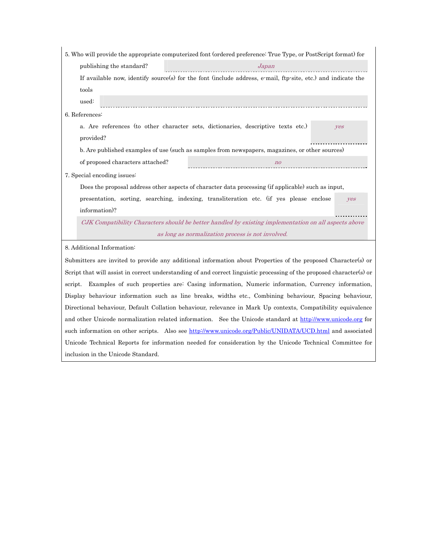|                             |                                  | 5. Who will provide the appropriate computerized font (ordered preference: True Type, or PostScript format) for       |            |
|-----------------------------|----------------------------------|-----------------------------------------------------------------------------------------------------------------------|------------|
|                             | publishing the standard?         | Japan                                                                                                                 |            |
| tools                       |                                  | If available now, identify source(s) for the font (include address, e-mail, ftp-site, etc.) and indicate the          |            |
| used:                       |                                  |                                                                                                                       |            |
| 6. References:              |                                  |                                                                                                                       |            |
| provided?                   |                                  | a. Are references (to other character sets, dictionaries, descriptive texts etc.)                                     | yes        |
|                             |                                  | b. Are published examples of use (such as samples from newspapers, magazines, or other sources)                       |            |
|                             | of proposed characters attached? | n <sub>o</sub>                                                                                                        |            |
| 7. Special encoding issues: |                                  | Does the proposal address other aspects of character data processing (if applicable) such as input,                   |            |
|                             |                                  |                                                                                                                       |            |
| information)?               |                                  | presentation, sorting, searching, indexing, transliteration etc. (if yes please enclose                               | <b>ves</b> |
|                             |                                  | CJK Compatibility Characters should be better handled by existing implementation on all aspects above                 |            |
|                             |                                  | as long as normalization process is not involved.                                                                     |            |
| 8. Additional Information:  |                                  |                                                                                                                       |            |
|                             |                                  | Submitters are invited to provide any additional information about Properties of the proposed Character(s) or         |            |
|                             |                                  |                                                                                                                       |            |
|                             |                                  | Script that will assist in correct understanding of and correct linguistic processing of the proposed character(s) or |            |
| script.                     |                                  | Examples of such properties are: Casing information, Numeric information, Currency information,                       |            |
|                             |                                  | Display behaviour information such as line breaks, widths etc., Combining behaviour, Spacing behaviour,               |            |
|                             |                                  | Directional behaviour, Default Collation behaviour, relevance in Mark Up contexts, Compatibility equivalence          |            |
|                             |                                  | and other Unicode normalization related information. See the Unicode standard at http://www.unicode.org for           |            |

such information on other scripts. Also see http://www.unicode.org/Public/UNIDATA/UCD.html and associated Unicode Technical Reports for information needed for consideration by the Unicode Technical Committee for

inclusion in the Unicode Standard.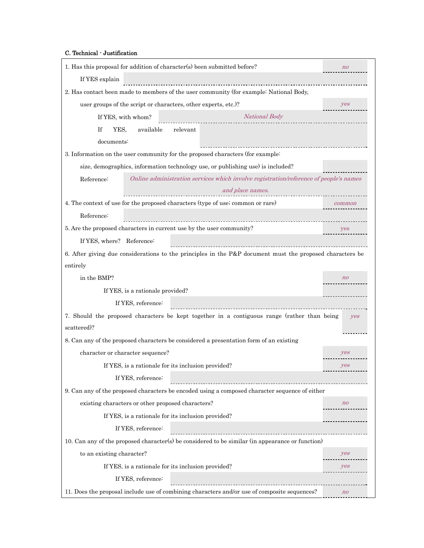C. Technical - Justification

| 1. Has this proposal for addition of character(s) been submitted before?                                 | $n$ o          |
|----------------------------------------------------------------------------------------------------------|----------------|
| If YES explain                                                                                           |                |
| 2. Has contact been made to members of the user community (for example: National Body,                   |                |
| user groups of the script or characters, other experts, etc.)?                                           | yes            |
| National Body<br>If YES, with whom?                                                                      |                |
| If<br>YES.<br>available<br>relevant                                                                      |                |
| documents:                                                                                               |                |
| 3. Information on the user community for the proposed characters (for example:                           |                |
| size, demographics, information technology use, or publishing use) is included?                          |                |
| Online administration services which involve registration/reference of people's names<br>Reference:      |                |
| and place names.                                                                                         |                |
| 4. The context of use for the proposed characters (type of use; common or rare)                          | common         |
| Reference:                                                                                               |                |
| 5. Are the proposed characters in current use by the user community?                                     | yes            |
| If YES, where? Reference:                                                                                |                |
| 6. After giving due considerations to the principles in the P&P document must the proposed characters be |                |
| entirely                                                                                                 |                |
| in the BMP?                                                                                              | n <sub>o</sub> |
| If YES, is a rationale provided?                                                                         |                |
| If YES, reference:                                                                                       |                |
|                                                                                                          |                |
| 7. Should the proposed characters be kept together in a contiguous range (rather than being              | yes            |
| scattered)?                                                                                              |                |
| 8. Can any of the proposed characters be considered a presentation form of an existing                   |                |
| character or character sequence?                                                                         | yes            |
| If YES, is a rationale for its inclusion provided?                                                       | yes            |
| If YES, reference:                                                                                       |                |
| 9. Can any of the proposed characters be encoded using a composed character sequence of either           |                |
| existing characters or other proposed characters?                                                        | n              |
| If YES, is a rationale for its inclusion provided?                                                       |                |
| If YES, reference:                                                                                       |                |
| 10. Can any of the proposed character(s) be considered to be similar (in appearance or function)         |                |
| to an existing character?                                                                                | yes            |
| If YES, is a rationale for its inclusion provided?                                                       | yes            |
| If YES, reference:                                                                                       |                |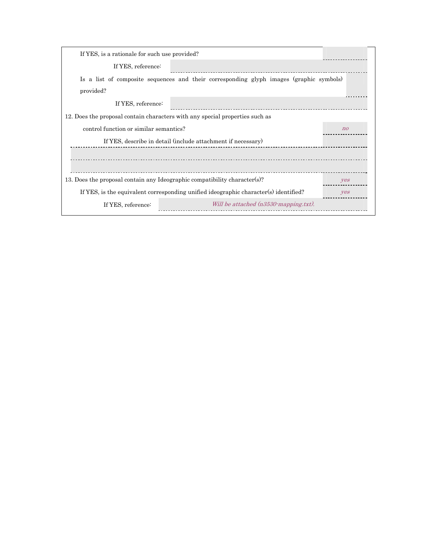| If YES, is a rationale for such use provided?                                           |                |
|-----------------------------------------------------------------------------------------|----------------|
| If YES, reference:                                                                      |                |
| Is a list of composite sequences and their corresponding glyph images (graphic symbols) |                |
| provided?                                                                               |                |
| If YES, reference:                                                                      |                |
| 12. Does the proposal contain characters with any special properties such as            |                |
| control function or similar semantics?                                                  | n <sub>o</sub> |
| If YES, describe in detail (include attachment if necessary)                            |                |
|                                                                                         |                |
|                                                                                         |                |
| 13. Does the proposal contain any Ideographic compatibility character(s)?               | yes            |
| If YES, is the equivalent corresponding unified ideographic character(s) identified?    | yes            |
| Will be attached (n3530-mapping.txt).<br>If YES, reference:                             |                |
|                                                                                         |                |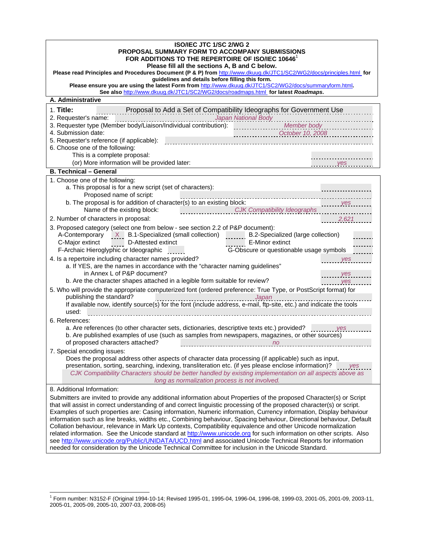| <b>ISO/IEC JTC 1/SC 2/WG 2</b>                                                                                                                                                                                                        |  |  |  |
|---------------------------------------------------------------------------------------------------------------------------------------------------------------------------------------------------------------------------------------|--|--|--|
| <b>PROPOSAL SUMMARY FORM TO ACCOMPANY SUBMISSIONS</b>                                                                                                                                                                                 |  |  |  |
| FOR ADDITIONS TO THE REPERTOIRE OF ISO/IEC 10646<br>Please fill all the sections A, B and C below.                                                                                                                                    |  |  |  |
| Please read Principles and Procedures Document (P & P) from http://www.dkuug.dk/JTC1/SC2/WG2/docs/principles.html for                                                                                                                 |  |  |  |
| guidelines and details before filling this form.                                                                                                                                                                                      |  |  |  |
| Please ensure you are using the latest Form from http://www.dkuug.dk/JTC1/SC2/WG2/docs/summaryform.html.<br>See also http://www.dkuug.dk/JTC1/SC2/WG2/docs/roadmaps.html for latest Roadmaps.                                         |  |  |  |
| A. Administrative                                                                                                                                                                                                                     |  |  |  |
| 1. Title:<br>Proposal to Add a Set of Compatibility Ideographs for Government Use                                                                                                                                                     |  |  |  |
|                                                                                                                                                                                                                                       |  |  |  |
| 2. Requester's name:<br>3. Requester type (Member body/Liaison/Individual contribution): Member body<br>3. Requester type (Member body/Liaison/Individual contribution): Member body                                                  |  |  |  |
| 4. Submission date:                                                                                                                                                                                                                   |  |  |  |
| $\begin{array}{c} \textcolor{blue}{\textbf{CctODer 10, 2008}} \\ \textcolor{blue}{\textbf{CctODer 10, 2008}} \end{array}$<br>5. Requester's reference (if applicable):                                                                |  |  |  |
| 6. Choose one of the following:                                                                                                                                                                                                       |  |  |  |
| This is a complete proposal:                                                                                                                                                                                                          |  |  |  |
| (or) More information will be provided later:<br>yes                                                                                                                                                                                  |  |  |  |
| <b>B. Technical - General</b>                                                                                                                                                                                                         |  |  |  |
| 1. Choose one of the following:                                                                                                                                                                                                       |  |  |  |
| a. This proposal is for a new script (set of characters):<br>Proposed name of script:                                                                                                                                                 |  |  |  |
| b. The proposal is for addition of character(s) to an existing block:<br>yes                                                                                                                                                          |  |  |  |
| Name of the existing block:<br>CJK Compatibility Ideographs                                                                                                                                                                           |  |  |  |
| 2,621<br>2. Number of characters in proposal:                                                                                                                                                                                         |  |  |  |
| 3. Proposed category (select one from below - see section 2.2 of P&P document):                                                                                                                                                       |  |  |  |
| A-Contemporary $X$ B.1-Specialized (small collection) B.2-Specialized (large collection)                                                                                                                                              |  |  |  |
| E-Minor extinct<br>C-Major extinct D-Attested extinct                                                                                                                                                                                 |  |  |  |
| F-Archaic Hieroglyphic or Ideographic<br>G-Obscure or questionable usage symbols                                                                                                                                                      |  |  |  |
| 4. Is a repertoire including character names provided?<br><b>Example 25 Yes</b>                                                                                                                                                       |  |  |  |
| a. If YES, are the names in accordance with the "character naming guidelines"                                                                                                                                                         |  |  |  |
| in Annex L of P&P document?<br>$\frac{y}{1}$                                                                                                                                                                                          |  |  |  |
| b. Are the character shapes attached in a legible form suitable for review?<br>yes                                                                                                                                                    |  |  |  |
| 5. Who will provide the appropriate computerized font (ordered preference: True Type, or PostScript format) for                                                                                                                       |  |  |  |
| publishing the standard?<br>If available now, identify source(s) for the font (include address, e-mail, ftp-site, etc.) and indicate the tools                                                                                        |  |  |  |
|                                                                                                                                                                                                                                       |  |  |  |
| used:                                                                                                                                                                                                                                 |  |  |  |
| 6. References:                                                                                                                                                                                                                        |  |  |  |
| a. Are references (to other character sets, dictionaries, descriptive texts etc.) provided?<br>b. Are published examples of use (such as samples from newspapers, magazines, or other sources)                                        |  |  |  |
| of proposed characters attached?<br>n <sub>o</sub><br>_________________________________                                                                                                                                               |  |  |  |
| 7. Special encoding issues:                                                                                                                                                                                                           |  |  |  |
| Does the proposal address other aspects of character data processing (if applicable) such as input,                                                                                                                                   |  |  |  |
| presentation, sorting, searching, indexing, transliteration etc. (if yes please enclose information)?<br>yes                                                                                                                          |  |  |  |
| CJK Compatibility Characters should be better handled by existing implementation on all aspects above as                                                                                                                              |  |  |  |
| long as normalization process is not involved.                                                                                                                                                                                        |  |  |  |
| 8. Additional Information:                                                                                                                                                                                                            |  |  |  |
| Submitters are invited to provide any additional information about Properties of the proposed Character(s) or Script                                                                                                                  |  |  |  |
| that will assist in correct understanding of and correct linguistic processing of the proposed character(s) or script.                                                                                                                |  |  |  |
| Examples of such properties are: Casing information, Numeric information, Currency information, Display behaviour                                                                                                                     |  |  |  |
| information such as line breaks, widths etc., Combining behaviour, Spacing behaviour, Directional behaviour, Default<br>Collation behaviour, relevance in Mark Up contexts, Compatibility equivalence and other Unicode normalization |  |  |  |
| related information. See the Unicode standard at http://www.unicode.org for such information on other scripts. Also                                                                                                                   |  |  |  |
| see http://www.unicode.org/Public/UNIDATA/UCD.html and associated Unicode Technical Reports for information                                                                                                                           |  |  |  |
| needed for consideration by the Unicode Technical Committee for inclusion in the Unicode Standard.                                                                                                                                    |  |  |  |

 TP 1 PT Form number: N3152-F (Original 1994-10-14; Revised 1995-01, 1995-04, 1996-04, 1996-08, 1999-03, 2001-05, 2001-09, 2003-11, 2005-01, 2005-09, 2005-10, 2007-03, 2008-05)